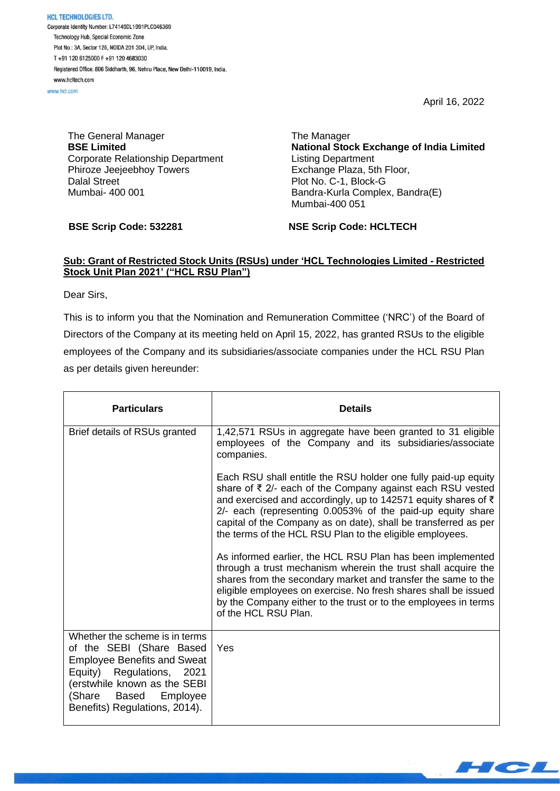April 16, 2022

**HCL TECHNOLOGIES LTD.** Corporate Identity Number: L74140DL1991PLC046369 Technology Hub, Special Economic Zone Plot No : 3A, Sector 126, NOIDA 201 304, UP, India. T+91 120 6125000 F+91 120 4683030 Registered Office: 806 Siddharth, 96, Nehru Place, New Delhi-110019, India. www.hcltech.com

www.hcl.com

The General Manager **BSE Limited** Corporate Relationship Department Phiroze Jeejeebhoy Towers Dalal Street Mumbai- 400 001

**BSE Scrip Code: 532281**

The Manager **National Stock Exchange of India Limited** Listing Department Exchange Plaza, 5th Floor, Plot No. C-1, Block-G Bandra-Kurla Complex, Bandra(E) Mumbai-400 051

**NSE Scrip Code: HCLTECH**

## **Sub: Grant of Restricted Stock Units (RSUs) under 'HCL Technologies Limited - Restricted Stock Unit Plan 2021' ("HCL RSU Plan")**

Dear Sirs,

This is to inform you that the Nomination and Remuneration Committee ('NRC') of the Board of Directors of the Company at its meeting held on April 15, 2022, has granted RSUs to the eligible employees of the Company and its subsidiaries/associate companies under the HCL RSU Plan as per details given hereunder:

| <b>Particulars</b>                                                                                                                                                                                                      | <b>Details</b>                                                                                                                                                                                                                                                                                                                                                                              |
|-------------------------------------------------------------------------------------------------------------------------------------------------------------------------------------------------------------------------|---------------------------------------------------------------------------------------------------------------------------------------------------------------------------------------------------------------------------------------------------------------------------------------------------------------------------------------------------------------------------------------------|
| Brief details of RSUs granted                                                                                                                                                                                           | 1,42,571 RSUs in aggregate have been granted to 31 eligible<br>employees of the Company and its subsidiaries/associate<br>companies.                                                                                                                                                                                                                                                        |
|                                                                                                                                                                                                                         | Each RSU shall entitle the RSU holder one fully paid-up equity<br>share of ₹ 2/- each of the Company against each RSU vested<br>and exercised and accordingly, up to 142571 equity shares of ₹<br>2/- each (representing 0.0053% of the paid-up equity share<br>capital of the Company as on date), shall be transferred as per<br>the terms of the HCL RSU Plan to the eligible employees. |
|                                                                                                                                                                                                                         | As informed earlier, the HCL RSU Plan has been implemented<br>through a trust mechanism wherein the trust shall acquire the<br>shares from the secondary market and transfer the same to the<br>eligible employees on exercise. No fresh shares shall be issued<br>by the Company either to the trust or to the employees in terms<br>of the HCL RSU Plan.                                  |
| Whether the scheme is in terms<br>of the SEBI (Share Based<br><b>Employee Benefits and Sweat</b><br>Equity) Regulations, 2021<br>(erstwhile known as the SEBI<br>(Share Based Employee<br>Benefits) Regulations, 2014). | Yes                                                                                                                                                                                                                                                                                                                                                                                         |

 $\blacksquare$   $\blacksquare$   $\blacksquare$   $\blacksquare$